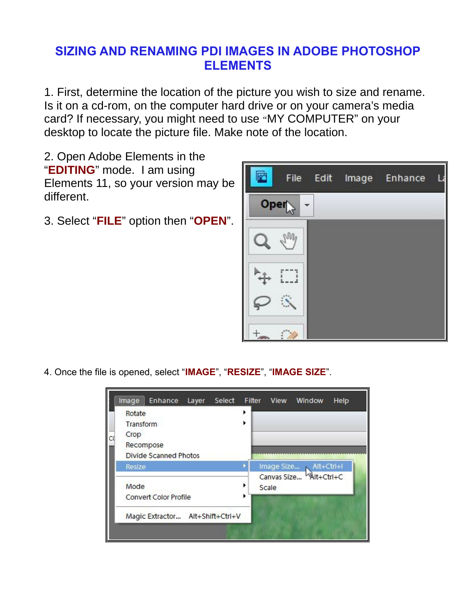## **SIZING AND RENAMING PDI IMAGES IN ADOBE PHOTOSHOP ELEMENTS**

1. First, determine the location of the picture you wish to size and rename. Is it on a cd-rom, on the computer hard drive or on your camera's media card? If necessary, you might need to use "MY COMPUTER" on your desktop to locate the picture file. Make note of the location.

2. Open Adobe Elements in the "**EDITING**" mode. I am using Elements 11, so your version may be different.

3. Select "**FILE**" option then "**OPEN**".



4. Once the file is opened, select "**IMAGE**", "**RESIZE**", "**IMAGE SIZE**".

|   | Image<br>Enhance<br>Layer<br>Select | Filter<br>View                                  | Window | <b>Help</b> |  |
|---|-------------------------------------|-------------------------------------------------|--------|-------------|--|
| C | Rotate                              |                                                 |        |             |  |
|   | Transform                           |                                                 |        |             |  |
|   | Crop                                |                                                 |        |             |  |
|   | Recompose                           |                                                 |        |             |  |
|   | <b>Divide Scanned Photos</b>        |                                                 |        |             |  |
|   | Resize                              | Image Size NIt+Ctrl+I<br>Canvas Size Alt+Ctrl+C |        |             |  |
|   | Mode                                | Scale                                           |        |             |  |
|   | <b>Convert Color Profile</b>        |                                                 |        |             |  |
|   | Magic Extractor Alt+Shift+Ctrl+V    |                                                 |        |             |  |
|   |                                     |                                                 |        |             |  |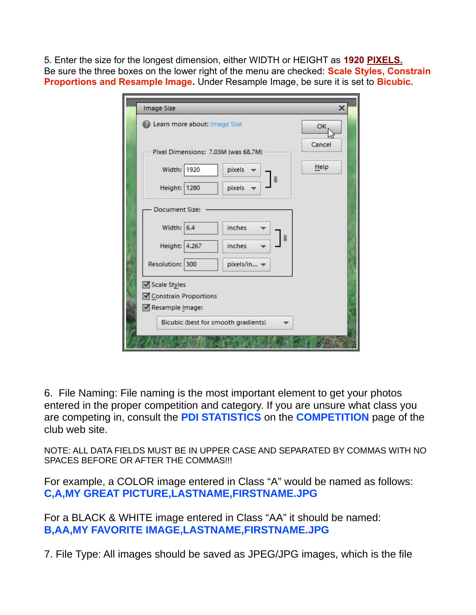5. Enter the size for the longest dimension, either WIDTH or HEIGHT as **1920 PIXELS.** Be sure the three boxes on the lower right of the menu are checked: **Scale Styles, Constrain Proportions and Resample Image.** Under Resample Image, be sure it is set to **Bicubic.**

| Learn more about: Image Size             |                                     |               |  | ОК     |
|------------------------------------------|-------------------------------------|---------------|--|--------|
| Pixel Dimensions: 7.03M (was 68.7M)      |                                     |               |  | Cancel |
| Width: 1920                              |                                     | pixels        |  | Help   |
| Height: 1280                             |                                     | pixels        |  |        |
| Document Size:                           |                                     |               |  |        |
| Width: $6.4$                             |                                     | <i>inches</i> |  |        |
| Height: 4.267                            |                                     | <i>inches</i> |  |        |
| Resolution: 300                          |                                     | pixels/in -   |  |        |
| Scale Styles                             |                                     |               |  |        |
| Constrain Proportions<br>Resample Image: |                                     |               |  |        |
|                                          | Bicubic (best for smooth gradients) |               |  |        |

6. File Naming: File naming is the most important element to get your photos entered in the proper competition and category. If you are unsure what class you are competing in, consult the **PDI STATISTICS** on the **COMPETITION** page of the club web site.

NOTE: ALL DATA FIELDS MUST BE IN UPPER CASE AND SEPARATED BY COMMAS WITH NO SPACES BEFORE OR AFTER THE COMMAS!!!

For example, a COLOR image entered in Class "A" would be named as follows: **C,A,MY GREAT PICTURE,LASTNAME,FIRSTNAME.JPG**

For a BLACK & WHITE image entered in Class "AA" it should be named: **B,AA,MY FAVORITE IMAGE,LASTNAME,FIRSTNAME.JPG**

7. File Type: All images should be saved as JPEG/JPG images, which is the file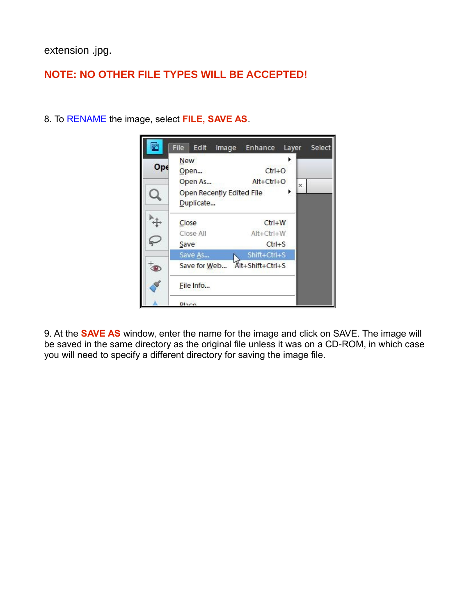extension .jpg.

## **NOTE: NO OTHER FILE TYPES WILL BE ACCEPTED!**



8. To RENAME the image, select **FILE, SAVE AS**.

9. At the **SAVE AS** window, enter the name for the image and click on SAVE. The image will be saved in the same directory as the original file unless it was on a CD-ROM, in which case you will need to specify a different directory for saving the image file.